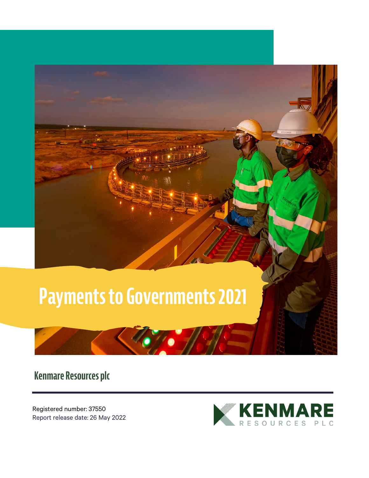# Payments to **Payments to Governments 2021**

Governments 2019

## **Kenmare Resources plc**

Registered number: 37550 Report release date: 26 May 2022

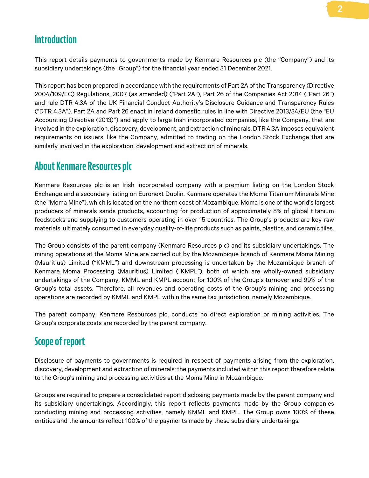#### **Introduction**

This report details payments to governments made by Kenmare Resources plc (the "Company") and its subsidiary undertakings (the "Group") for the financial year ended 31 December 2021.

This report has been prepared in accordance with the requirements of Part 2A of the Transparency (Directive 2004/109/EC) Regulations, 2007 (as amended) ("Part 2A"), Part 26 of the Companies Act 2014 ("Part 26") and rule DTR 4.3A of the UK Financial Conduct Authority's Disclosure Guidance and Transparency Rules ("DTR 4.3A"). Part 2A and Part 26 enact in Ireland domestic rules in line with Directive 2013/34/EU (the "EU Accounting Directive (2013)") and apply to large Irish incorporated companies, like the Company, that are involved in the exploration, discovery, development, and extraction of minerals. DTR 4.3A imposes equivalent requirements on issuers, like the Company, admitted to trading on the London Stock Exchange that are similarly involved in the exploration, development and extraction of minerals.

#### **About Kenmare Resources plc**

Kenmare Resources plc is an Irish incorporated company with a premium listing on the London Stock Exchange and a secondary listing on Euronext Dublin. Kenmare operates the Moma Titanium Minerals Mine (the "Moma Mine"), which is located on the northern coast of Mozambique. Moma is one of the world's largest producers of minerals sands products, accounting for production of approximately 8% of global titanium feedstocks and supplying to customers operating in over 15 countries. The Group's products are key raw materials, ultimately consumed in everyday quality-of-life products such as paints, plastics, and ceramic tiles.

The Group consists of the parent company (Kenmare Resources plc) and its subsidiary undertakings. The mining operations at the Moma Mine are carried out by the Mozambique branch of Kenmare Moma Mining (Mauritius) Limited ("KMML") and downstream processing is undertaken by the Mozambique branch of Kenmare Moma Processing (Mauritius) Limited ("KMPL"), both of which are wholly-owned subsidiary undertakings of the Company. KMML and KMPL account for 100% of the Group's turnover and 99% of the Group's total assets. Therefore, all revenues and operating costs of the Group's mining and processing operations are recorded by KMML and KMPL within the same tax jurisdiction, namely Mozambique.

The parent company, Kenmare Resources plc, conducts no direct exploration or mining activities. The Group's corporate costs are recorded by the parent company.

## **Scope of report**

Disclosure of payments to governments is required in respect of payments arising from the exploration, discovery, development and extraction of minerals; the payments included within this report therefore relate to the Group's mining and processing activities at the Moma Mine in Mozambique.

Groups are required to prepare a consolidated report disclosing payments made by the parent company and its subsidiary undertakings. Accordingly, this report reflects payments made by the Group companies conducting mining and processing activities, namely KMML and KMPL. The Group owns 100% of these entities and the amounts reflect 100% of the payments made by these subsidiary undertakings.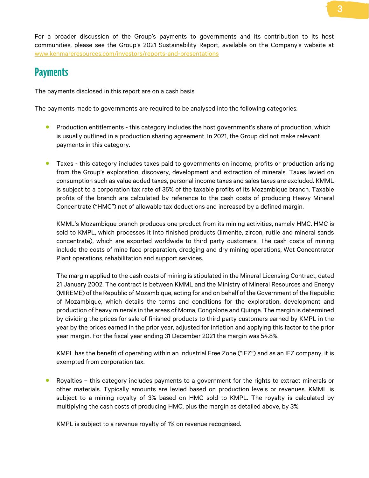For a broader discussion of the Group's payments to governments and its contribution to its host communities, please see the Group's 2021 Sustainability Report, available on the Company's website at [www.kenmareresources.com/investors/reports-and-presentations](http://www.kenmareresources.com/investors/reports-and-presentations)

## **Payments**

The payments disclosed in this report are on a cash basis.

The payments made to governments are required to be analysed into the following categories:

- Production entitlements this category includes the host government's share of production, which is usually outlined in a production sharing agreement. In 2021, the Group did not make relevant payments in this category.
- Taxes this category includes taxes paid to governments on income, profits or production arising from the Group's exploration, discovery, development and extraction of minerals. Taxes levied on consumption such as value added taxes, personal income taxes and sales taxes are excluded. KMML is subject to a corporation tax rate of 35% of the taxable profits of its Mozambique branch. Taxable profits of the branch are calculated by reference to the cash costs of producing Heavy Mineral Concentrate ("HMC") net of allowable tax deductions and increased by a defined margin.

KMML's Mozambique branch produces one product from its mining activities, namely HMC. HMC is sold to KMPL, which processes it into finished products (ilmenite, zircon, rutile and mineral sands concentrate), which are exported worldwide to third party customers. The cash costs of mining include the costs of mine face preparation, dredging and dry mining operations, Wet Concentrator Plant operations, rehabilitation and support services.

The margin applied to the cash costs of mining is stipulated in the Mineral Licensing Contract, dated 21 January 2002. The contract is between KMML and the Ministry of Mineral Resources and Energy (MIREME) of the Republic of Mozambique, acting for and on behalf of the Government of the Republic of Mozambique, which details the terms and conditions for the exploration, development and production of heavy minerals in the areas of Moma, Congolone and Quinga. The margin is determined by dividing the prices for sale of finished products to third party customers earned by KMPL in the year by the prices earned in the prior year, adjusted for inflation and applying this factor to the prior year margin. For the fiscal year ending 31 December 2021 the margin was 54.8%.

KMPL has the benefit of operating within an Industrial Free Zone ("IFZ") and as an IFZ company, it is exempted from corporation tax.

• Royalties – this category includes payments to a government for the rights to extract minerals or other materials. Typically amounts are levied based on production levels or revenues. KMML is subject to a mining royalty of 3% based on HMC sold to KMPL. The royalty is calculated by multiplying the cash costs of producing HMC, plus the margin as detailed above, by 3%.

KMPL is subject to a revenue royalty of 1% on revenue recognised.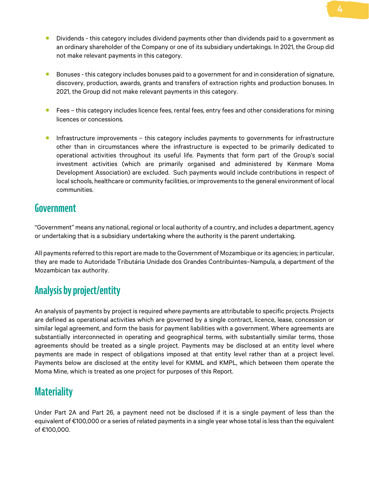- Dividends this category includes dividend payments other than dividends paid to a government as an ordinary shareholder of the Company or one of its subsidiary undertakings. In 2021, the Group did not make relevant payments in this category.
- Bonuses this category includes bonuses paid to a government for and in consideration of signature, discovery, production, awards, grants and transfers of extraction rights and production bonuses. In 2021, the Group did not make relevant payments in this category.
- Fees this category includes licence fees, rental fees, entry fees and other considerations for mining licences or concessions.
- Infrastructure improvements this category includes payments to governments for infrastructure other than in circumstances where the infrastructure is expected to be primarily dedicated to operational activities throughout its useful life. Payments that form part of the Group's social investment activities (which are primarily organised and administered by Kenmare Moma Development Association) are excluded. Such payments would include contributions in respect of local schools, healthcare or community facilities, or improvements to the general environment of local communities.

#### **Government**

"Government" means any national, regional or local authority of a country, and includes a department, agency or undertaking that is a subsidiary undertaking where the authority is the parent undertaking.

All payments referred to this report are made to the Government of Mozambique or its agencies; in particular, they are made to Autoridade Tributária Unidade dos Grandes Contribuintes–Nampula, a department of the Mozambican tax authority.

## **Analysis by project/entity**

An analysis of payments by project is required where payments are attributable to specific projects. Projects are defined as operational activities which are governed by a single contract, licence, lease, concession or similar legal agreement, and form the basis for payment liabilities with a government. Where agreements are substantially interconnected in operating and geographical terms, with substantially similar terms, those agreements should be treated as a single project. Payments may be disclosed at an entity level where payments are made in respect of obligations imposed at that entity level rather than at a project level. Payments below are disclosed at the entity level for KMML and KMPL, which between them operate the Moma Mine, which is treated as one project for purposes of this Report.

## **Materiality**

Under Part 2A and Part 26, a payment need not be disclosed if it is a single payment of less than the equivalent of €100,000 or a series of related payments in a single year whose total is less than the equivalent of €100,000.